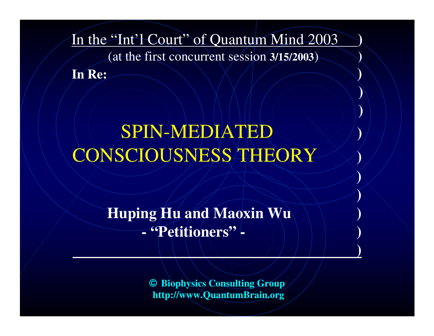In the "Int'l Court" of Quantum Mind 2003 **)**

(at the first concurrent session **3/15/2003**) **)**

**)**

**)**

**)**

**)**

**)**

**In Re: )**

# SPIN-MEDIATED **)** CONSCIOUSNESS THEORY **)**

**Huping Hu and Maoxin Wu ) - "Petitioners" - )**

> **© Biophysics Consulting Group http://www.QuantumBrain.org**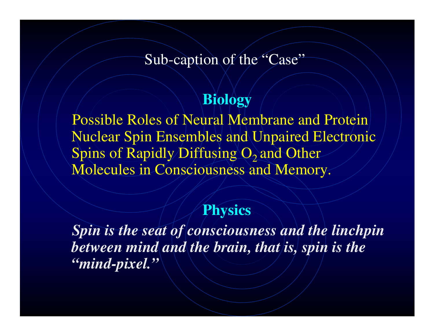### Sub-caption of the "Case"

### **Biology**

Possible Roles of Neural Membrane and Protein Nuclear Spin Ensembles and Unpaired Electronic Spins of Rapidly Diffusing  $O_2$  and Other Molecules in Consciousness and Memory.

### **Physics**

*Spin is the seat of consciousness and the linchpin between mind and the brain, that is, spin is the "mind-pixel."*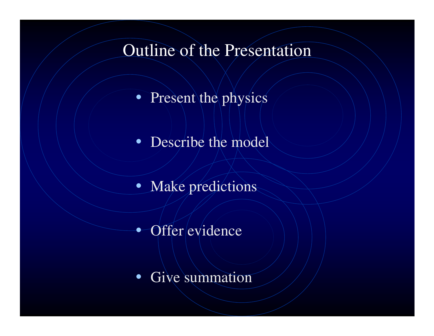## Outline of the Presentation

- Present the physics
- Describe the model
- Make predictions
- Offer evidence
- •• Give summation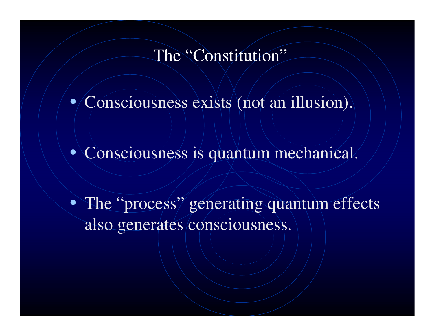### The "Constitution"

• Consciousness exists (not an illusion).

• Consciousness is quantum mechanical.

• The "process" generating quantum effects also generates consciousness.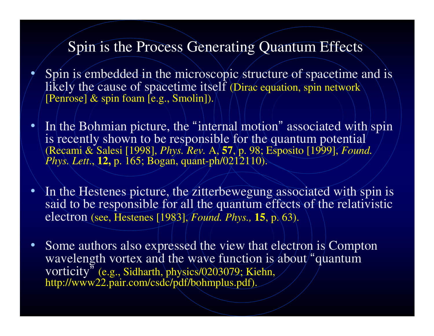### Spin is the Process Generating Quantum Effects

- • Spin is embedded in the microscopic structure of spacetime and is likely the cause of spacetime itself (Dirac equation, spin network [Penrose] & spin foam [e.g., Smolin]).
- $\bullet$ • In the Bohmian picture, the "internal motion" associated with/spin is recently shown to be responsible for the quantum potential (Recami & Salesi [1998], *Phys. Rev.* A, **57**, p. 98; Esposito [1999], *Found. Phys. Lett*., **12,** p. 165; Bogan, quant-ph/0212110).
- $\bullet$ • In the Hestenes picture, the zitterbewegung associated with spin is said to be responsible for all the quantum effects of the relativistic electron (see, Hestenes [1983], *Found. Phys.,* **15**, p. 63).
- $\bullet$ • Some authors also expressed the view that electron is Compton wavelength vortex and the wave function is about "quantum" vorticity" (e.g., Sidharth, <sup>p</sup>hysics/0203079; Kiehn, http://www22.pair.com/csdc/pdf/bohmplus.pdf).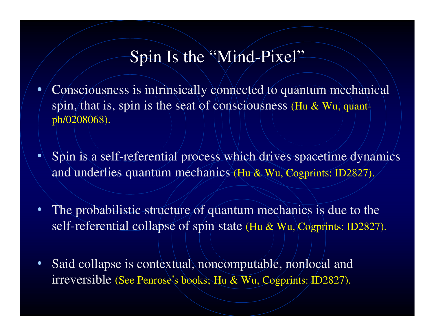## Spin Is the "Mind-Pixel"

- ••/ Consciousness is intrinsically connected to quantum mechanical spin, that is, spin is the seat of consciousness (Hu & Wu, quantph/0208068).
- • Spin is <sup>a</sup> self-referential process which drives spacetime dynamics and underlies quantum mechanics (Hu & Wu, Cogprints: ID2827).
- $\bullet$ • The probabilistic structure of quantum mechanics is due to the self-referential collapse of spin state (Hu & Wu, Cogprints: ID2827).
- $\bullet$ • Said collapse is contextual, noncomputable, nonlocal and irreversible (See Penrose'<sup>s</sup> books; Hu & Wu, Cogprints: ID2827).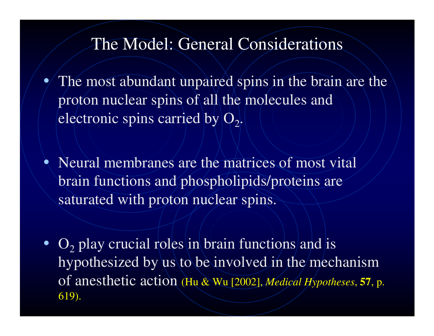### The Model: General Considerations

- • The most abundant unpaired spins in the brain are the proton nuclear spins of all the molecules and electronic spins carried by  $| \mathrm{O}_{2} |$ .
- •• Neural membranes are the matrices of most vital brain functions and phospholipids/proteins are saturated with proton nuclear spins.
- $O_2$  play crucial roles in brain functions and is hypothesized by us to be involved in the mechanism of anesthetic action (Hu & Wu [2002], *Medical Hypotheses*, **57**, p. 619).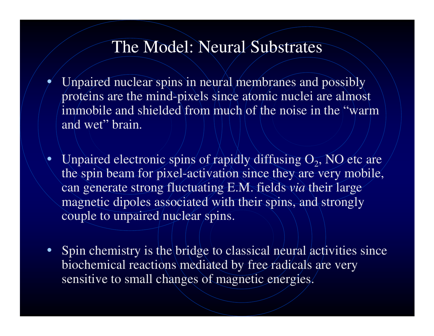### The Model: Neural Substrates

- • Unpaired nuclear spins in neural membranes and possibly proteins are the mind-pixels since atomic nuclei are almost immobile and shielded from much of the noise in the "warm and wet" brain.
- •Unpaired electronic spins of rapidly diffusing  $\Theta_2$ , NO etc are the spin beam for pixel-activation since they are very mobile, can generate strong fluctuating E.M. fields *via* their large magnetic dipoles associated with their spins, and strongly couple to unpaired/nuclear spins.
- Spin chemistry is the bridge to classical neural activities since biochemical reactions mediated by free radicals are very sensitive to small changes of magnetic energies.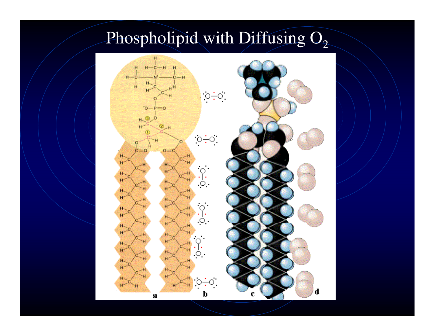# Phospholipid with Diffusing  $O_2$

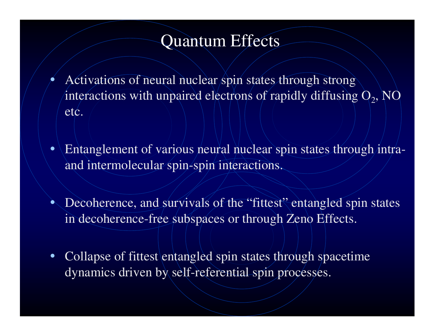## Quantum Effects

•

- Activations of neural nuclear spin states through strong interactions with unpaired electrons of rapidly diffusing  $\mathsf{O}_2, \mathsf{NO}$ etc.
- Entanglement of various neural nuclear spin states through intraand intermolecular spin-spin interactions.
- Decoherence, and survivals of the "fittest" entangled spin states in decoherence-free subspaces or through Zeno Effects.
- Collapse of fittest entangled spin states through spacetime dynamics driven by self-referential spin processes.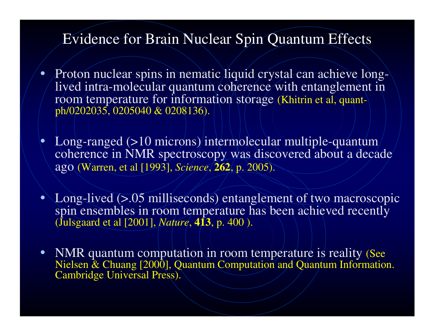#### Evidence for Brain Nuclear Spin Quantum Effects

- •• Proton nuclear spins in nematic liquid crystal can achieve longlived intra-molecular quantum coherence with entanglement in room temperature for information storage (Khitrin et al, quantph/0202035, 0205040 & 0208136).
- • Long-ranged (>10 microns) intermolecular multiple-quantum coherence in NMR spectroscopy was discovered about <sup>a</sup> decade ago (Warren, et al [1993], *Science*, **262**, p. 2005).
- Long-lived (>.05 milliseconds) entanglement of two macroscopic spin ensembles in room temperature has been achieved recently (Julsgaard et al [2001], *Nature*, **413**, p. 400 ).
- NMR quantum computation in room temperature is reality (See Nielsen & Chuang [2000], Quantum Computation and Quantum Information. Cambridge Universal Press).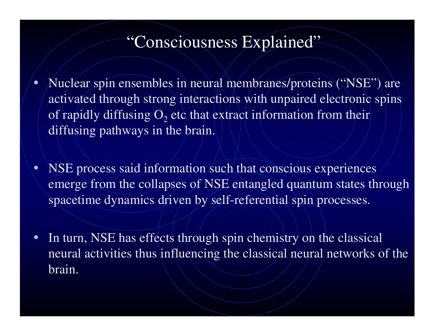## "Consciousness Explained"

•• Nuclear spin ensembles in neural membranes/proteins ("NSE") are activated through strong interactions with unpaired electronic spins of rapidly diffusing  $\mathrm{O}_2$  etc that extract information from their diffusing pathways in the brain.

•• NSE process said information such that conscious experiences emerge from the collapses of NSE entangled quantum states through spacetime dynamics driven by self-referential spin processes.

•• In turn, NSE has effects through spin chemistry on the classical neural activities thus influencing the classical neural networks of the brain.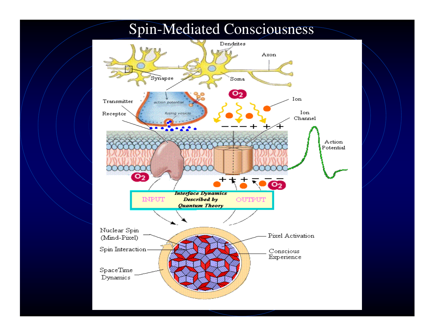

### Spin-Mediated Consciousness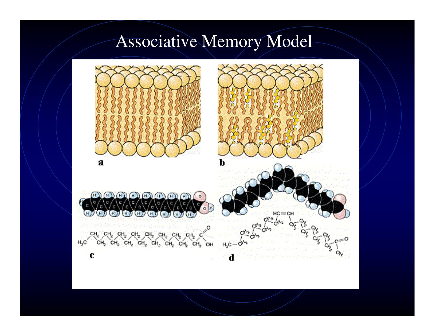## Associative Memory Model

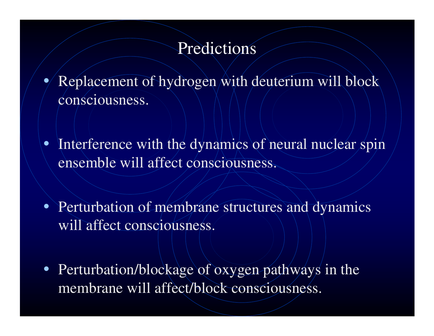### Predictions

- • Replacement of hydrogen with deuterium will block consciousness.
- Interference with the dynamics of neural nuclear spin ensemble will affect consciousness.
- Perturbation of membrane structures and dynamics will affect consciousness.
- Perturbation/blockage of oxygen pathways in the membrane will affect/block consciousness.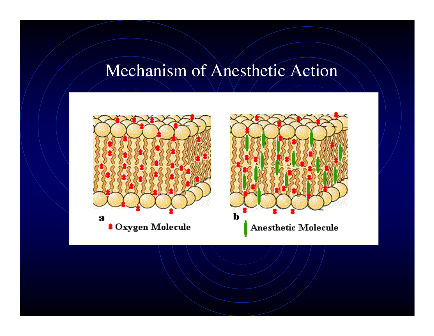### Mechanism of Anesthetic Action

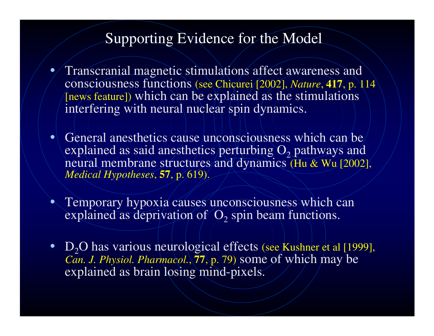### Supporting Evidence for the Model

- •• Transcranial magnetic stimulations affect awareness and consciousness functions (see Chicurei [2002], *Nature*, **<sup>417</sup>**, p. <sup>114</sup> [news feature]) which can be explained as the stimulations interfering with neural nuclear spin dynamics.
- General anesthetics cause unconsciousness which can be explained as said anesthetics/perturbing  $\mathrm{O}_2$  pathways and neural membrane structures and dynamics (Hu & Wu [2002], *Medical Hypotheses*, **57**, p. 619).
- Temporary hypoxia causes unconsciousness which can explained as deprivation of  $O_2$  spin beam functions.
- $D_2O$  has various neurological effects (see Kushner et al [1999], *Can. J. Physiol. Pharmacol.*, **<sup>77</sup>**, p. 79) some of which may be explained as brain losing mind-pixels.